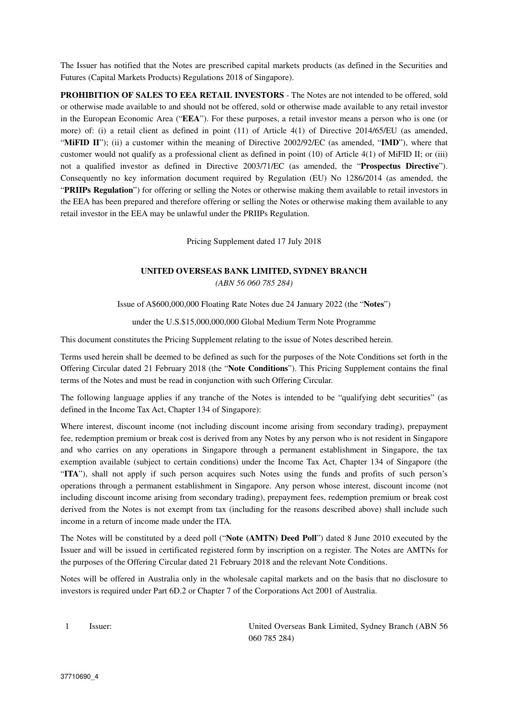The Issuer has notified that the Notes are prescribed capital markets products (as defined in the Securities and Futures (Capital Markets Products) Regulations 2018 of Singapore).

**PROHIBITION OF SALES TO EEA RETAIL INVESTORS** - The Notes are not intended to be offered, sold or otherwise made available to and should not be offered, sold or otherwise made available to any retail investor in the European Economic Area ("**EEA**"). For these purposes, a retail investor means a person who is one (or more) of: (i) a retail client as defined in point (11) of Article 4(1) of Directive 2014/65/EU (as amended, "**MiFID II**"); (ii) a customer within the meaning of Directive 2002/92/EC (as amended, "**IMD**"), where that customer would not qualify as a professional client as defined in point (10) of Article 4(1) of MiFID II; or (iii) not a qualified investor as defined in Directive 2003/71/EC (as amended, the "**Prospectus Directive**"). Consequently no key information document required by Regulation (EU) No 1286/2014 (as amended, the "**PRIIPs Regulation**") for offering or selling the Notes or otherwise making them available to retail investors in the EEA has been prepared and therefore offering or selling the Notes or otherwise making them available to any retail investor in the EEA may be unlawful under the PRIIPs Regulation.

Pricing Supplement dated 17 July 2018

### **UNITED OVERSEAS BANK LIMITED, SYDNEY BRANCH**  *(ABN 56 060 785 284)*

Issue of A\$600,000,000 Floating Rate Notes due 24 January 2022 (the "**Notes**")

under the U.S.\$15,000,000,000 Global Medium Term Note Programme

This document constitutes the Pricing Supplement relating to the issue of Notes described herein.

Terms used herein shall be deemed to be defined as such for the purposes of the Note Conditions set forth in the Offering Circular dated 21 February 2018 (the "**Note Conditions**"). This Pricing Supplement contains the final terms of the Notes and must be read in conjunction with such Offering Circular.

The following language applies if any tranche of the Notes is intended to be "qualifying debt securities" (as defined in the Income Tax Act, Chapter 134 of Singapore):

Where interest, discount income (not including discount income arising from secondary trading), prepayment fee, redemption premium or break cost is derived from any Notes by any person who is not resident in Singapore and who carries on any operations in Singapore through a permanent establishment in Singapore, the tax exemption available (subject to certain conditions) under the Income Tax Act, Chapter 134 of Singapore (the "**ITA**"), shall not apply if such person acquires such Notes using the funds and profits of such person's operations through a permanent establishment in Singapore. Any person whose interest, discount income (not including discount income arising from secondary trading), prepayment fees, redemption premium or break cost derived from the Notes is not exempt from tax (including for the reasons described above) shall include such income in a return of income made under the ITA*.*

The Notes will be constituted by a deed poll ("**Note (AMTN) Deed Poll**") dated 8 June 2010 executed by the Issuer and will be issued in certificated registered form by inscription on a register. The Notes are AMTNs for the purposes of the Offering Circular dated 21 February 2018 and the relevant Note Conditions.

Notes will be offered in Australia only in the wholesale capital markets and on the basis that no disclosure to investors is required under Part 6D.2 or Chapter 7 of the Corporations Act 2001 of Australia.

1 Issuer: United Overseas Bank Limited, Sydney Branch (ABN 56 060 785 284)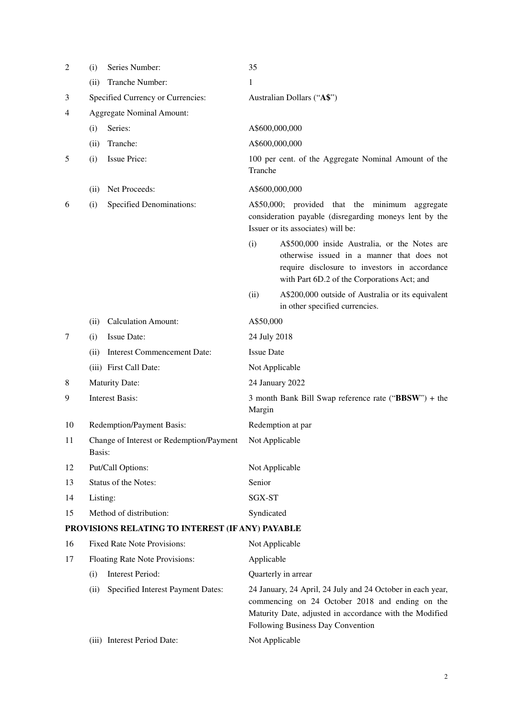| $\overline{c}$ | (i)                                                | Series Number:                                   | 35                |                                                                                                                                                                                                               |  |
|----------------|----------------------------------------------------|--------------------------------------------------|-------------------|---------------------------------------------------------------------------------------------------------------------------------------------------------------------------------------------------------------|--|
|                | (ii)                                               | Tranche Number:                                  | 1                 |                                                                                                                                                                                                               |  |
| 3              | Specified Currency or Currencies:                  |                                                  |                   | Australian Dollars ("A\$")                                                                                                                                                                                    |  |
| 4              | <b>Aggregate Nominal Amount:</b>                   |                                                  |                   |                                                                                                                                                                                                               |  |
|                | (i)                                                | Series:                                          | A\$600,000,000    |                                                                                                                                                                                                               |  |
|                | (ii)                                               | Tranche:                                         | A\$600,000,000    |                                                                                                                                                                                                               |  |
| 5              | (i)                                                | <b>Issue Price:</b>                              | Tranche           | 100 per cent. of the Aggregate Nominal Amount of the                                                                                                                                                          |  |
|                | (ii)                                               | Net Proceeds:                                    | A\$600,000,000    |                                                                                                                                                                                                               |  |
| 6              | (i)                                                | <b>Specified Denominations:</b>                  |                   | A\$50,000; provided that the minimum<br>aggregate<br>consideration payable (disregarding moneys lent by the<br>Issuer or its associates) will be:                                                             |  |
|                |                                                    |                                                  | (i)               | A\$500,000 inside Australia, or the Notes are<br>otherwise issued in a manner that does not<br>require disclosure to investors in accordance<br>with Part 6D.2 of the Corporations Act; and                   |  |
|                |                                                    |                                                  | (ii)              | A\$200,000 outside of Australia or its equivalent<br>in other specified currencies.                                                                                                                           |  |
|                | (ii)                                               | <b>Calculation Amount:</b>                       | A\$50,000         |                                                                                                                                                                                                               |  |
| 7              | (i)                                                | <b>Issue Date:</b>                               | 24 July 2018      |                                                                                                                                                                                                               |  |
|                | (i)                                                | <b>Interest Commencement Date:</b>               | <b>Issue Date</b> |                                                                                                                                                                                                               |  |
|                |                                                    | (iii) First Call Date:                           | Not Applicable    |                                                                                                                                                                                                               |  |
| 8              |                                                    | <b>Maturity Date:</b>                            |                   | 24 January 2022                                                                                                                                                                                               |  |
| 9              | <b>Interest Basis:</b>                             |                                                  | Margin            | 3 month Bank Bill Swap reference rate ("BBSW") + the                                                                                                                                                          |  |
| 10             | Redemption/Payment Basis:                          |                                                  |                   | Redemption at par                                                                                                                                                                                             |  |
| 11             | Change of Interest or Redemption/Payment<br>Basis: |                                                  | Not Applicable    |                                                                                                                                                                                                               |  |
| 12             | Put/Call Options:                                  |                                                  | Not Applicable    |                                                                                                                                                                                                               |  |
| 13             | Status of the Notes:                               |                                                  | Senior            |                                                                                                                                                                                                               |  |
| 14             | Listing:                                           |                                                  | SGX-ST            |                                                                                                                                                                                                               |  |
| 15             | Method of distribution:                            |                                                  | Syndicated        |                                                                                                                                                                                                               |  |
|                |                                                    | PROVISIONS RELATING TO INTEREST (IF ANY) PAYABLE |                   |                                                                                                                                                                                                               |  |
| 16             |                                                    | <b>Fixed Rate Note Provisions:</b>               | Not Applicable    |                                                                                                                                                                                                               |  |
| 17             |                                                    | Floating Rate Note Provisions:                   | Applicable        |                                                                                                                                                                                                               |  |
|                | (i)                                                | Interest Period:                                 |                   | Quarterly in arrear                                                                                                                                                                                           |  |
|                | (ii)                                               | Specified Interest Payment Dates:                |                   | 24 January, 24 April, 24 July and 24 October in each year,<br>commencing on 24 October 2018 and ending on the<br>Maturity Date, adjusted in accordance with the Modified<br>Following Business Day Convention |  |
|                |                                                    | (iii) Interest Period Date:                      | Not Applicable    |                                                                                                                                                                                                               |  |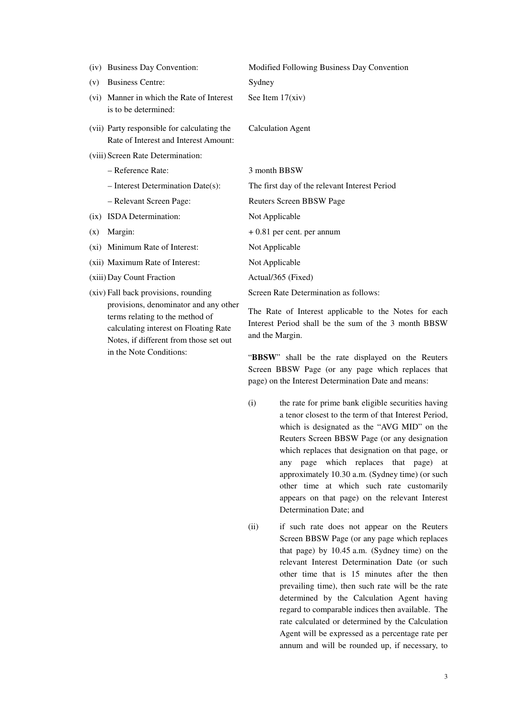|      | (iv) Business Day Convention:                                                        | Modified Following Business Day Convention    |
|------|--------------------------------------------------------------------------------------|-----------------------------------------------|
| (v)  | <b>Business Centre:</b>                                                              | Sydney                                        |
| (vi) | Manner in which the Rate of Interest<br>is to be determined:                         | See Item 17(xiv)                              |
|      | (vii) Party responsible for calculating the<br>Rate of Interest and Interest Amount: | <b>Calculation Agent</b>                      |
|      | (viii) Screen Rate Determination:                                                    |                                               |
|      | - Reference Rate:                                                                    | 3 month BBSW                                  |
|      | $-$ Interest Determination Date(s):                                                  | The first day of the relevant Interest Period |
|      | - Relevant Screen Page:                                                              | Reuters Screen BBSW Page                      |
| (ix) | ISDA Determination:                                                                  | Not Applicable                                |
| (x)  | Margin:                                                                              | $+0.81$ per cent. per annum                   |
|      | (xi) Minimum Rate of Interest:                                                       | Not Applicable                                |
|      | (xii) Maximum Rate of Interest:                                                      | Not Applicable                                |
|      | (xiii) Day Count Fraction                                                            | Actual/365 (Fixed)                            |
|      | (xiv) Fall back provisions, rounding                                                 | Screen Rate Determination as follows:         |
|      | provisions, denominator and any other<br>terms relating to the method of             | The Rate of Interest applicable to the Notes  |

calculating interest on Floating Rate Notes, if different from those set out

in the Note Conditions:

for each Interest Period shall be the sum of the 3 month BBSW and the Margin.

"**BBSW**" shall be the rate displayed on the Reuters Screen BBSW Page (or any page which replaces that page) on the Interest Determination Date and means:

- (i) the rate for prime bank eligible securities having a tenor closest to the term of that Interest Period, which is designated as the "AVG MID" on the Reuters Screen BBSW Page (or any designation which replaces that designation on that page, or any page which replaces that page) at approximately 10.30 a.m. (Sydney time) (or such other time at which such rate customarily appears on that page) on the relevant Interest Determination Date; and
- (ii) if such rate does not appear on the Reuters Screen BBSW Page (or any page which replaces that page) by 10.45 a.m. (Sydney time) on the relevant Interest Determination Date (or such other time that is 15 minutes after the then prevailing time), then such rate will be the rate determined by the Calculation Agent having regard to comparable indices then available. The rate calculated or determined by the Calculation Agent will be expressed as a percentage rate per annum and will be rounded up, if necessary, to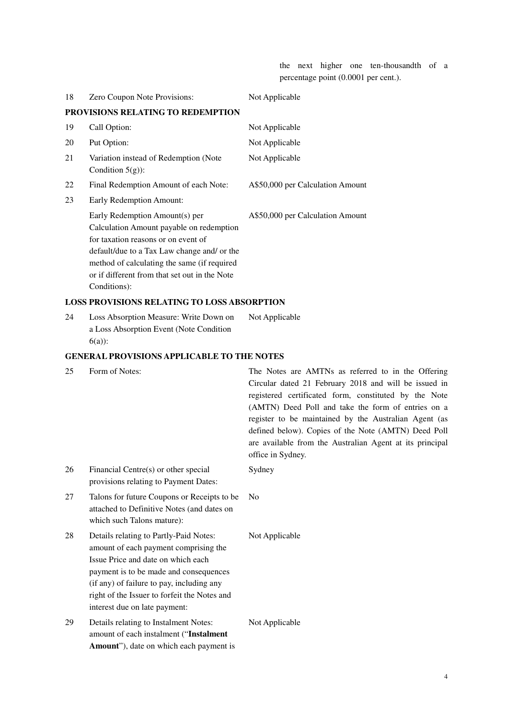the next higher one ten-thousandth of a percentage point (0.0001 per cent.).

| 18 | Zero Coupon Note Provisions:                                                                                                                                                                                                                                                     | Not Applicable                   |
|----|----------------------------------------------------------------------------------------------------------------------------------------------------------------------------------------------------------------------------------------------------------------------------------|----------------------------------|
|    | PROVISIONS RELATING TO REDEMPTION                                                                                                                                                                                                                                                |                                  |
| 19 | Call Option:                                                                                                                                                                                                                                                                     | Not Applicable                   |
| 20 | Put Option:                                                                                                                                                                                                                                                                      | Not Applicable                   |
| 21 | Variation instead of Redemption (Note)<br>Condition $5(g)$ :                                                                                                                                                                                                                     | Not Applicable                   |
| 22 | Final Redemption Amount of each Note:                                                                                                                                                                                                                                            | A\$50,000 per Calculation Amount |
| 23 | Early Redemption Amount:                                                                                                                                                                                                                                                         |                                  |
|    | Early Redemption Amount(s) per<br>Calculation Amount payable on redemption<br>for taxation reasons or on event of<br>default/due to a Tax Law change and/ or the<br>method of calculating the same (if required<br>or if different from that set out in the Note<br>Conditions): | A\$50,000 per Calculation Amount |

## **LOSS PROVISIONS RELATING TO LOSS ABSORPTION**

24 Loss Absorption Measure: Write Down on a Loss Absorption Event (Note Condition 6(a)): Not Applicable

# **GENERAL PROVISIONS APPLICABLE TO THE NOTES**

| 25 | Form of Notes:                                                                                                                                                                                                                                                                                | The Notes are AMTNs as referred to in the Offering<br>Circular dated 21 February 2018 and will be issued in<br>registered certificated form, constituted by the Note<br>(AMTN) Deed Poll and take the form of entries on a<br>register to be maintained by the Australian Agent (as<br>defined below). Copies of the Note (AMTN) Deed Poll<br>are available from the Australian Agent at its principal<br>office in Sydney. |
|----|-----------------------------------------------------------------------------------------------------------------------------------------------------------------------------------------------------------------------------------------------------------------------------------------------|-----------------------------------------------------------------------------------------------------------------------------------------------------------------------------------------------------------------------------------------------------------------------------------------------------------------------------------------------------------------------------------------------------------------------------|
| 26 | Financial Centre(s) or other special<br>provisions relating to Payment Dates:                                                                                                                                                                                                                 | Sydney                                                                                                                                                                                                                                                                                                                                                                                                                      |
| 27 | Talons for future Coupons or Receipts to be<br>attached to Definitive Notes (and dates on<br>which such Talons mature):                                                                                                                                                                       | N <sub>0</sub>                                                                                                                                                                                                                                                                                                                                                                                                              |
| 28 | Details relating to Partly-Paid Notes:<br>amount of each payment comprising the<br>Issue Price and date on which each<br>payment is to be made and consequences<br>(if any) of failure to pay, including any<br>right of the Issuer to forfeit the Notes and<br>interest due on late payment: | Not Applicable                                                                                                                                                                                                                                                                                                                                                                                                              |
| 29 | Details relating to Instalment Notes:<br>amount of each instalment ("Instalment<br>Amount"), date on which each payment is                                                                                                                                                                    | Not Applicable                                                                                                                                                                                                                                                                                                                                                                                                              |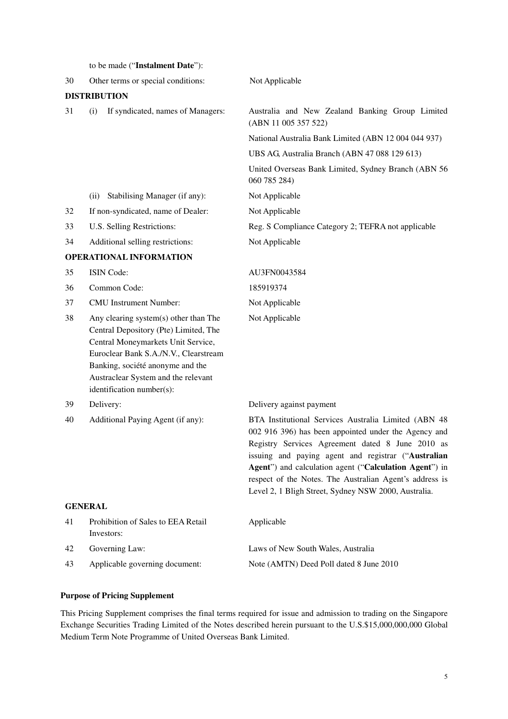|                | to be made ("Instalment Date"):                                                                                                                                                                                                                                       |                                                                                                                                                                                                                                                                                                                                                                                                      |  |  |
|----------------|-----------------------------------------------------------------------------------------------------------------------------------------------------------------------------------------------------------------------------------------------------------------------|------------------------------------------------------------------------------------------------------------------------------------------------------------------------------------------------------------------------------------------------------------------------------------------------------------------------------------------------------------------------------------------------------|--|--|
| 30             | Other terms or special conditions:                                                                                                                                                                                                                                    | Not Applicable                                                                                                                                                                                                                                                                                                                                                                                       |  |  |
|                | <b>DISTRIBUTION</b>                                                                                                                                                                                                                                                   |                                                                                                                                                                                                                                                                                                                                                                                                      |  |  |
| 31             | If syndicated, names of Managers:<br>(i)                                                                                                                                                                                                                              | Australia and New Zealand Banking Group Limited<br>(ABN 11 005 357 522)                                                                                                                                                                                                                                                                                                                              |  |  |
|                |                                                                                                                                                                                                                                                                       | National Australia Bank Limited (ABN 12004044937)                                                                                                                                                                                                                                                                                                                                                    |  |  |
|                |                                                                                                                                                                                                                                                                       | UBS AG, Australia Branch (ABN 47 088 129 613)                                                                                                                                                                                                                                                                                                                                                        |  |  |
|                |                                                                                                                                                                                                                                                                       | United Overseas Bank Limited, Sydney Branch (ABN 56<br>060 785 284)                                                                                                                                                                                                                                                                                                                                  |  |  |
|                | Stabilising Manager (if any):<br>(ii)                                                                                                                                                                                                                                 | Not Applicable                                                                                                                                                                                                                                                                                                                                                                                       |  |  |
| 32             | If non-syndicated, name of Dealer:                                                                                                                                                                                                                                    | Not Applicable                                                                                                                                                                                                                                                                                                                                                                                       |  |  |
| 33             | U.S. Selling Restrictions:                                                                                                                                                                                                                                            | Reg. S Compliance Category 2; TEFRA not applicable                                                                                                                                                                                                                                                                                                                                                   |  |  |
| 34             | Additional selling restrictions:                                                                                                                                                                                                                                      | Not Applicable                                                                                                                                                                                                                                                                                                                                                                                       |  |  |
|                | <b>OPERATIONAL INFORMATION</b>                                                                                                                                                                                                                                        |                                                                                                                                                                                                                                                                                                                                                                                                      |  |  |
| 35             | ISIN Code:                                                                                                                                                                                                                                                            | AU3FN0043584                                                                                                                                                                                                                                                                                                                                                                                         |  |  |
| 36             | Common Code:                                                                                                                                                                                                                                                          | 185919374                                                                                                                                                                                                                                                                                                                                                                                            |  |  |
| 37             | <b>CMU</b> Instrument Number:                                                                                                                                                                                                                                         | Not Applicable                                                                                                                                                                                                                                                                                                                                                                                       |  |  |
| 38             | Any clearing system(s) other than The<br>Central Depository (Pte) Limited, The<br>Central Moneymarkets Unit Service,<br>Euroclear Bank S.A./N.V., Clearstream<br>Banking, société anonyme and the<br>Austraclear System and the relevant<br>identification number(s): | Not Applicable                                                                                                                                                                                                                                                                                                                                                                                       |  |  |
| 39             | Delivery:                                                                                                                                                                                                                                                             | Delivery against payment                                                                                                                                                                                                                                                                                                                                                                             |  |  |
| 40             | Additional Paying Agent (if any):                                                                                                                                                                                                                                     | BTA Institutional Services Australia Limited (ABN 48<br>002 916 396) has been appointed under the Agency and<br>Registry Services Agreement dated 8 June 2010 as<br>issuing and paying agent and registrar ("Australian<br>Agent") and calculation agent ("Calculation Agent") in<br>respect of the Notes. The Australian Agent's address is<br>Level 2, 1 Bligh Street, Sydney NSW 2000, Australia. |  |  |
| <b>GENERAL</b> |                                                                                                                                                                                                                                                                       |                                                                                                                                                                                                                                                                                                                                                                                                      |  |  |
| 41             | Prohibition of Sales to EEA Retail<br>Investors:                                                                                                                                                                                                                      | Applicable                                                                                                                                                                                                                                                                                                                                                                                           |  |  |
| 42             | Governing Law:                                                                                                                                                                                                                                                        | Laws of New South Wales, Australia                                                                                                                                                                                                                                                                                                                                                                   |  |  |
| 43             | Applicable governing document:                                                                                                                                                                                                                                        | Note (AMTN) Deed Poll dated 8 June 2010                                                                                                                                                                                                                                                                                                                                                              |  |  |

### **Purpose of Pricing Supplement**

This Pricing Supplement comprises the final terms required for issue and admission to trading on the Singapore Exchange Securities Trading Limited of the Notes described herein pursuant to the U.S.\$15,000,000,000 Global Medium Term Note Programme of United Overseas Bank Limited.